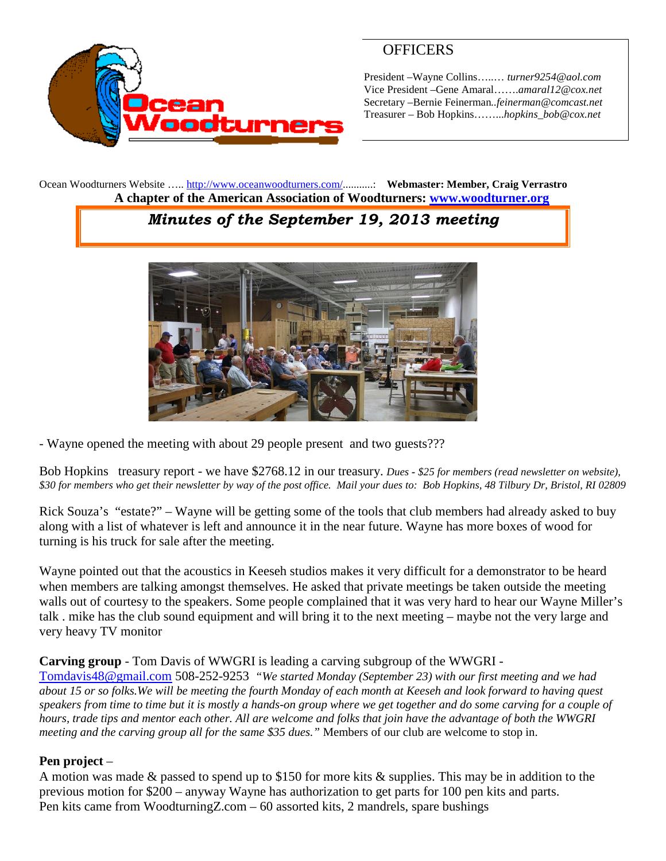

# **OFFICERS**

President –Wayne Collins…..… *turner9254@aol.com* Vice President –Gene Amaral…….*amaral12@cox.net* Secretary –Bernie Feinerman*..feinerman@comcast.net* Treasurer – Bob Hopkins……...*hopkins\_bob@cox.net*

Ocean Woodturners Website ….. <http://www.oceanwoodturners.com/>...........: **Webmaster: Member, Craig Verrastro A chapter of the American Association of Woodturners: [www.woodturner.org](http://www.woodturner.org/)**

# *Minutes of the September 19, 2013 meeting*



- Wayne opened the meeting with about 29 people present and two guests???

Bob Hopkins treasury report - we have \$2768.12 in our treasury. *Dues - \$25 for members (read newsletter on website), \$30 for members who get their newsletter by way of the post office. Mail your dues to: Bob Hopkins, 48 Tilbury Dr, Bristol, RI 02809*

Rick Souza's "estate?" – Wayne will be getting some of the tools that club members had already asked to buy along with a list of whatever is left and announce it in the near future. Wayne has more boxes of wood for turning is his truck for sale after the meeting.

Wayne pointed out that the acoustics in Keeseh studios makes it very difficult for a demonstrator to be heard when members are talking amongst themselves. He asked that private meetings be taken outside the meeting walls out of courtesy to the speakers. Some people complained that it was very hard to hear our Wayne Miller's talk . mike has the club sound equipment and will bring it to the next meeting – maybe not the very large and very heavy TV monitor

#### **Carving group** - Tom Davis of WWGRI is leading a carving subgroup of the WWGRI -

[Tomdavis48@gmail.com](mailto:Tomdavis48@gmail.com) 508-252-9253 *"We started Monday (September 23) with our first meeting and we had about 15 or so folks.We will be meeting the fourth Monday of each month at Keeseh and look forward to having quest speakers from time to time but it is mostly a hands-on group where we get together and do some carving for a couple of hours, trade tips and mentor each other. All are welcome and folks that join have the advantage of both the WWGRI meeting and the carving group all for the same \$35 dues."* Members of our club are welcome to stop in.

#### **Pen project** –

A motion was made & passed to spend up to \$150 for more kits & supplies. This may be in addition to the previous motion for \$200 – anyway Wayne has authorization to get parts for 100 pen kits and parts. Pen kits came from WoodturningZ.com – 60 assorted kits, 2 mandrels, spare bushings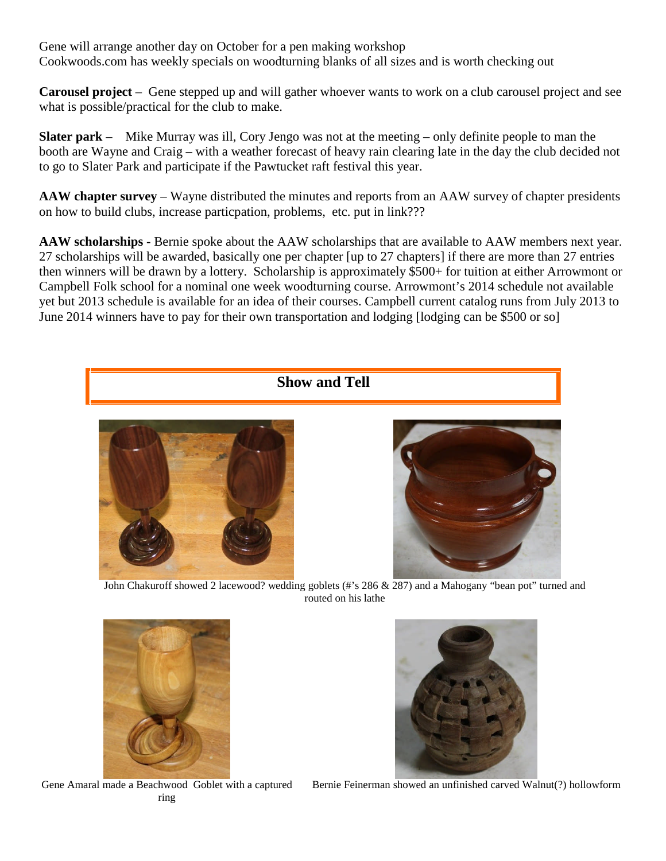Gene will arrange another day on October for a pen making workshop Cookwoods.com has weekly specials on woodturning blanks of all sizes and is worth checking out

**Carousel project** – Gene stepped up and will gather whoever wants to work on a club carousel project and see what is possible/practical for the club to make.

**Slater park** – Mike Murray was ill, Cory Jengo was not at the meeting – only definite people to man the booth are Wayne and Craig – with a weather forecast of heavy rain clearing late in the day the club decided not to go to Slater Park and participate if the Pawtucket raft festival this year.

**AAW chapter survey** – Wayne distributed the minutes and reports from an AAW survey of chapter presidents on how to build clubs, increase particpation, problems, etc. put in link???

**AAW scholarships** - Bernie spoke about the AAW scholarships that are available to AAW members next year. 27 scholarships will be awarded, basically one per chapter [up to 27 chapters] if there are more than 27 entries then winners will be drawn by a lottery. Scholarship is approximately \$500+ for tuition at either Arrowmont or Campbell Folk school for a nominal one week woodturning course. Arrowmont's 2014 schedule not available yet but 2013 schedule is available for an idea of their courses. Campbell current catalog runs from July 2013 to June 2014 winners have to pay for their own transportation and lodging [lodging can be \$500 or so]



routed on his lathe



Gene Amaral made a Beachwood Goblet with a captured ring

Bernie Feinerman showed an unfinished carved Walnut(?) hollowform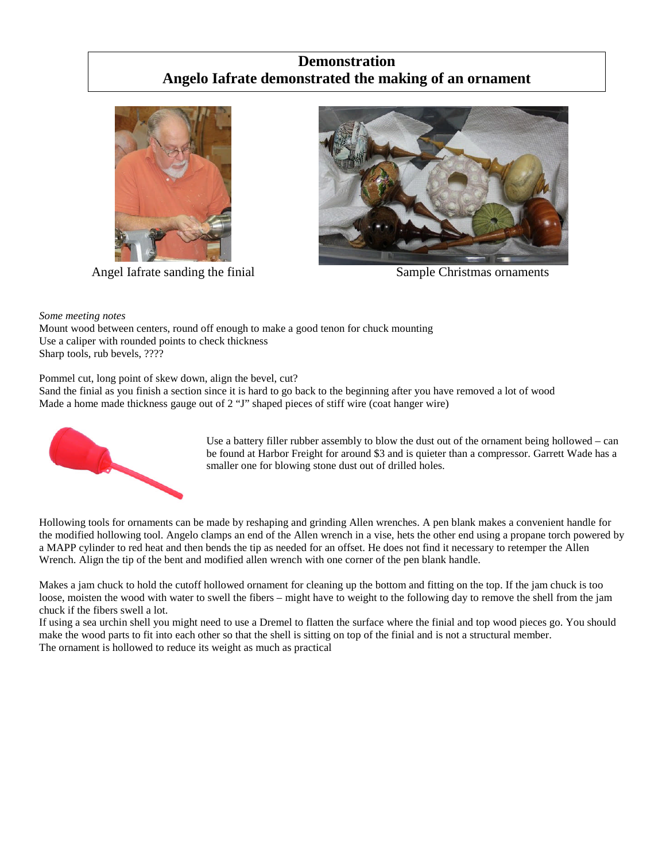### **Demonstration Angelo Iafrate demonstrated the making of an ornament**



Angel Iafrate sanding the finial Sample Christmas ornaments



*Some meeting notes*

Mount wood between centers, round off enough to make a good tenon for chuck mounting Use a caliper with rounded points to check thickness Sharp tools, rub bevels, ????

Pommel cut, long point of skew down, align the bevel, cut?

Sand the finial as you finish a section since it is hard to go back to the beginning after you have removed a lot of wood Made a home made thickness gauge out of 2 "J" shaped pieces of stiff wire (coat hanger wire)



Use a battery filler rubber assembly to blow the dust out of the ornament being hollowed – can be found at Harbor Freight for around \$3 and is quieter than a compressor. Garrett Wade has a smaller one for blowing stone dust out of drilled holes.

Hollowing tools for ornaments can be made by reshaping and grinding Allen wrenches. A pen blank makes a convenient handle for the modified hollowing tool. Angelo clamps an end of the Allen wrench in a vise, hets the other end using a propane torch powered by a MAPP cylinder to red heat and then bends the tip as needed for an offset. He does not find it necessary to retemper the Allen Wrench. Align the tip of the bent and modified allen wrench with one corner of the pen blank handle.

Makes a jam chuck to hold the cutoff hollowed ornament for cleaning up the bottom and fitting on the top. If the jam chuck is too loose, moisten the wood with water to swell the fibers – might have to weight to the following day to remove the shell from the jam chuck if the fibers swell a lot.

If using a sea urchin shell you might need to use a Dremel to flatten the surface where the finial and top wood pieces go. You should make the wood parts to fit into each other so that the shell is sitting on top of the finial and is not a structural member. The ornament is hollowed to reduce its weight as much as practical